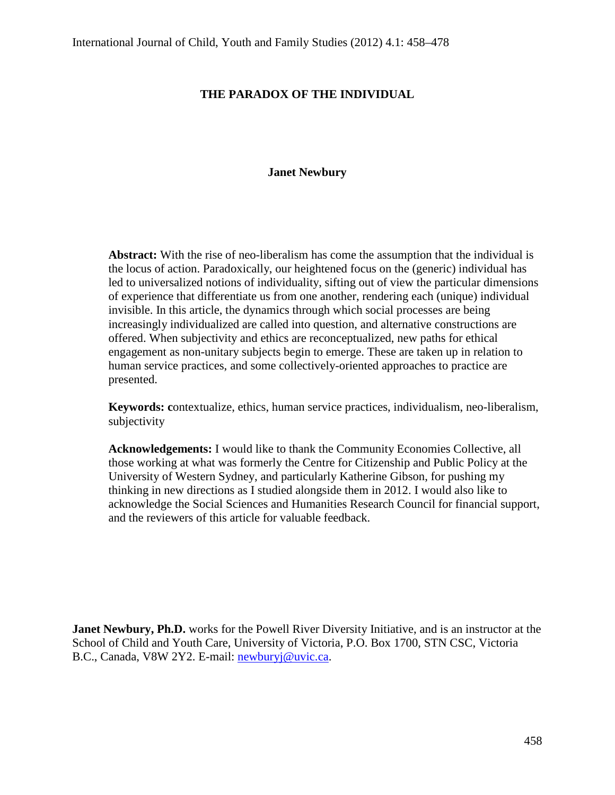# **THE PARADOX OF THE INDIVIDUAL**

# **Janet Newbury**

**Abstract:** With the rise of neo-liberalism has come the assumption that the individual is the locus of action. Paradoxically, our heightened focus on the (generic) individual has led to universalized notions of individuality, sifting out of view the particular dimensions of experience that differentiate us from one another, rendering each (unique) individual invisible. In this article, the dynamics through which social processes are being increasingly individualized are called into question, and alternative constructions are offered. When subjectivity and ethics are reconceptualized, new paths for ethical engagement as non-unitary subjects begin to emerge. These are taken up in relation to human service practices, and some collectively-oriented approaches to practice are presented.

**Keywords: c**ontextualize, ethics, human service practices, individualism, neo-liberalism, subjectivity

**Acknowledgements:** I would like to thank the Community Economies Collective, all those working at what was formerly the Centre for Citizenship and Public Policy at the University of Western Sydney, and particularly Katherine Gibson, for pushing my thinking in new directions as I studied alongside them in 2012. I would also like to acknowledge the Social Sciences and Humanities Research Council for financial support, and the reviewers of this article for valuable feedback.

**Janet Newbury, Ph.D.** works for the Powell River Diversity Initiative, and is an instructor at the School of Child and Youth Care, University of Victoria, P.O. Box 1700, STN CSC, Victoria B.C., Canada, V8W 2Y2. E-mail: [newburyj@uvic.ca.](mailto:newburyj@uvic.ca)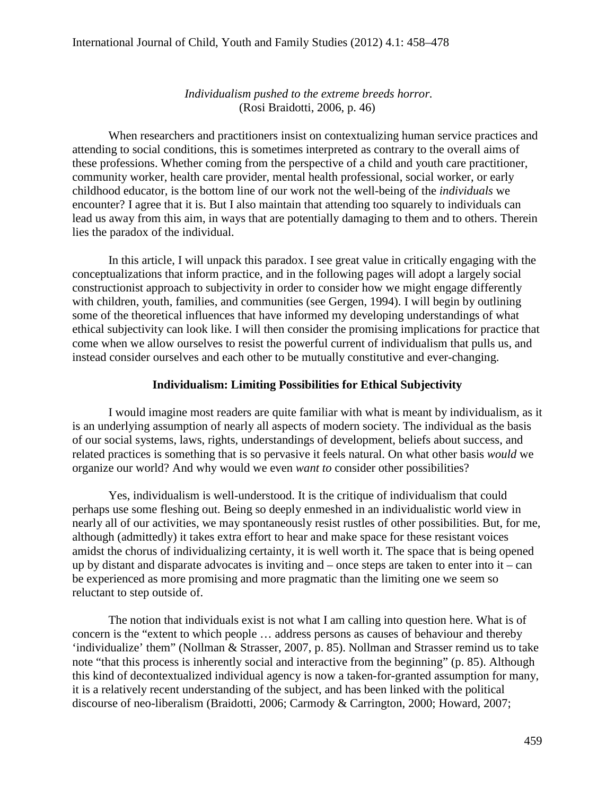*Individualism pushed to the extreme breeds horror.* (Rosi Braidotti, 2006, p. 46)

When researchers and practitioners insist on contextualizing human service practices and attending to social conditions, this is sometimes interpreted as contrary to the overall aims of these professions. Whether coming from the perspective of a child and youth care practitioner, community worker, health care provider, mental health professional, social worker, or early childhood educator, is the bottom line of our work not the well-being of the *individuals* we encounter? I agree that it is. But I also maintain that attending too squarely to individuals can lead us away from this aim, in ways that are potentially damaging to them and to others. Therein lies the paradox of the individual.

In this article, I will unpack this paradox. I see great value in critically engaging with the conceptualizations that inform practice, and in the following pages will adopt a largely social constructionist approach to subjectivity in order to consider how we might engage differently with children, youth, families, and communities (see Gergen, 1994). I will begin by outlining some of the theoretical influences that have informed my developing understandings of what ethical subjectivity can look like. I will then consider the promising implications for practice that come when we allow ourselves to resist the powerful current of individualism that pulls us, and instead consider ourselves and each other to be mutually constitutive and ever-changing.

# **Individualism: Limiting Possibilities for Ethical Subjectivity**

I would imagine most readers are quite familiar with what is meant by individualism, as it is an underlying assumption of nearly all aspects of modern society. The individual as the basis of our social systems, laws, rights, understandings of development, beliefs about success, and related practices is something that is so pervasive it feels natural. On what other basis *would* we organize our world? And why would we even *want to* consider other possibilities?

Yes, individualism is well-understood. It is the critique of individualism that could perhaps use some fleshing out. Being so deeply enmeshed in an individualistic world view in nearly all of our activities, we may spontaneously resist rustles of other possibilities. But, for me, although (admittedly) it takes extra effort to hear and make space for these resistant voices amidst the chorus of individualizing certainty, it is well worth it. The space that is being opened up by distant and disparate advocates is inviting and – once steps are taken to enter into it – can be experienced as more promising and more pragmatic than the limiting one we seem so reluctant to step outside of.

The notion that individuals exist is not what I am calling into question here. What is of concern is the "extent to which people … address persons as causes of behaviour and thereby 'individualize' them" (Nollman & Strasser, 2007, p. 85). Nollman and Strasser remind us to take note "that this process is inherently social and interactive from the beginning" (p. 85). Although this kind of decontextualized individual agency is now a taken-for-granted assumption for many, it is a relatively recent understanding of the subject, and has been linked with the political discourse of neo-liberalism (Braidotti, 2006; Carmody & Carrington, 2000; Howard, 2007;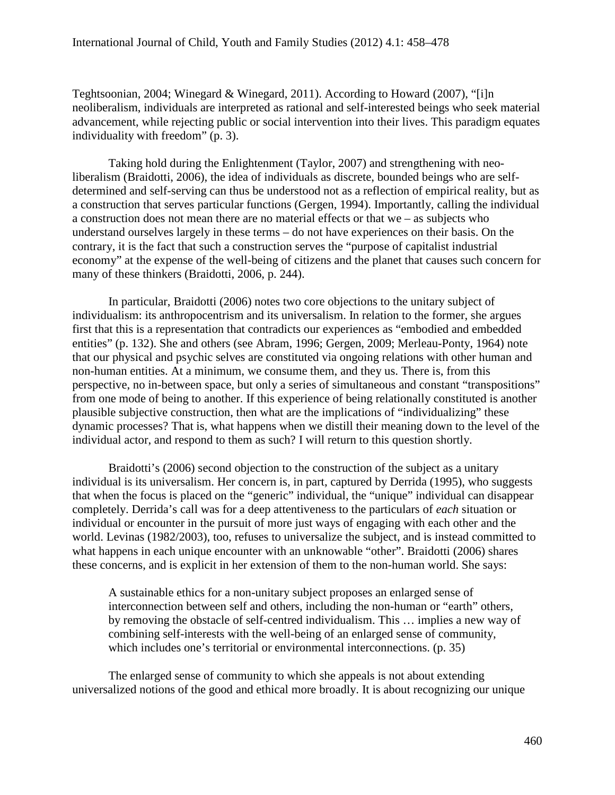Teghtsoonian, 2004; Winegard & Winegard, 2011). According to Howard (2007), "[i]n neoliberalism, individuals are interpreted as rational and self-interested beings who seek material advancement, while rejecting public or social intervention into their lives. This paradigm equates individuality with freedom" (p. 3).

Taking hold during the Enlightenment (Taylor, 2007) and strengthening with neoliberalism (Braidotti, 2006), the idea of individuals as discrete, bounded beings who are selfdetermined and self-serving can thus be understood not as a reflection of empirical reality, but as a construction that serves particular functions (Gergen, 1994). Importantly, calling the individual a construction does not mean there are no material effects or that we – as subjects who understand ourselves largely in these terms – do not have experiences on their basis. On the contrary, it is the fact that such a construction serves the "purpose of capitalist industrial economy" at the expense of the well-being of citizens and the planet that causes such concern for many of these thinkers (Braidotti, 2006, p. 244).

In particular, Braidotti (2006) notes two core objections to the unitary subject of individualism: its anthropocentrism and its universalism. In relation to the former, she argues first that this is a representation that contradicts our experiences as "embodied and embedded entities" (p. 132). She and others (see Abram, 1996; Gergen, 2009; Merleau-Ponty, 1964) note that our physical and psychic selves are constituted via ongoing relations with other human and non-human entities. At a minimum, we consume them, and they us. There is, from this perspective, no in-between space, but only a series of simultaneous and constant "transpositions" from one mode of being to another. If this experience of being relationally constituted is another plausible subjective construction, then what are the implications of "individualizing" these dynamic processes? That is, what happens when we distill their meaning down to the level of the individual actor, and respond to them as such? I will return to this question shortly.

Braidotti's (2006) second objection to the construction of the subject as a unitary individual is its universalism. Her concern is, in part, captured by Derrida (1995), who suggests that when the focus is placed on the "generic" individual, the "unique" individual can disappear completely. Derrida's call was for a deep attentiveness to the particulars of *each* situation or individual or encounter in the pursuit of more just ways of engaging with each other and the world. Levinas (1982/2003), too, refuses to universalize the subject, and is instead committed to what happens in each unique encounter with an unknowable "other". Braidotti (2006) shares these concerns, and is explicit in her extension of them to the non-human world. She says:

A sustainable ethics for a non-unitary subject proposes an enlarged sense of interconnection between self and others, including the non-human or "earth" others, by removing the obstacle of self-centred individualism. This … implies a new way of combining self-interests with the well-being of an enlarged sense of community, which includes one's territorial or environmental interconnections. (p. 35)

The enlarged sense of community to which she appeals is not about extending universalized notions of the good and ethical more broadly. It is about recognizing our unique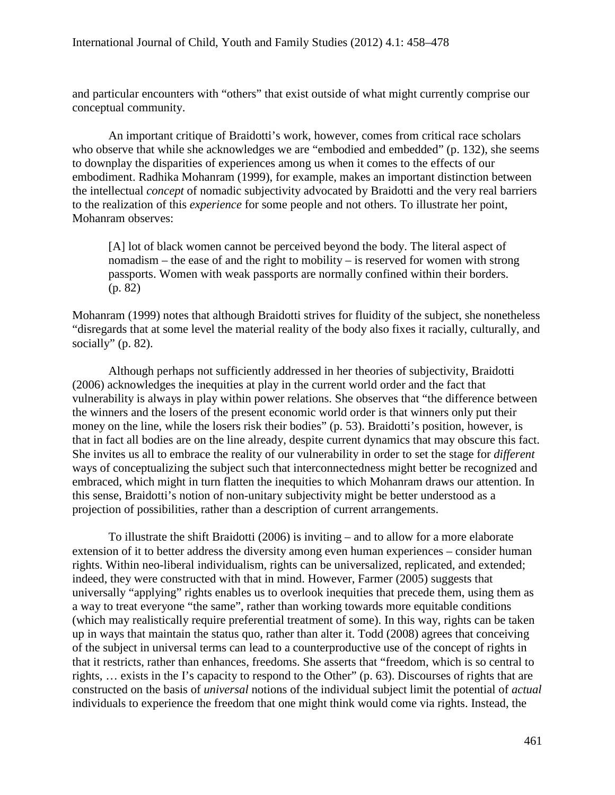and particular encounters with "others" that exist outside of what might currently comprise our conceptual community.

An important critique of Braidotti's work, however, comes from critical race scholars who observe that while she acknowledges we are "embodied and embedded" (p. 132), she seems to downplay the disparities of experiences among us when it comes to the effects of our embodiment. Radhika Mohanram (1999), for example, makes an important distinction between the intellectual *concept* of nomadic subjectivity advocated by Braidotti and the very real barriers to the realization of this *experience* for some people and not others. To illustrate her point, Mohanram observes:

[A] lot of black women cannot be perceived beyond the body. The literal aspect of nomadism – the ease of and the right to mobility – is reserved for women with strong passports. Women with weak passports are normally confined within their borders. (p. 82)

Mohanram (1999) notes that although Braidotti strives for fluidity of the subject, she nonetheless "disregards that at some level the material reality of the body also fixes it racially, culturally, and socially" (p. 82).

Although perhaps not sufficiently addressed in her theories of subjectivity, Braidotti (2006) acknowledges the inequities at play in the current world order and the fact that vulnerability is always in play within power relations. She observes that "the difference between the winners and the losers of the present economic world order is that winners only put their money on the line, while the losers risk their bodies" (p. 53). Braidotti's position, however, is that in fact all bodies are on the line already, despite current dynamics that may obscure this fact. She invites us all to embrace the reality of our vulnerability in order to set the stage for *different* ways of conceptualizing the subject such that interconnectedness might better be recognized and embraced, which might in turn flatten the inequities to which Mohanram draws our attention. In this sense, Braidotti's notion of non-unitary subjectivity might be better understood as a projection of possibilities, rather than a description of current arrangements.

To illustrate the shift Braidotti (2006) is inviting – and to allow for a more elaborate extension of it to better address the diversity among even human experiences – consider human rights. Within neo-liberal individualism, rights can be universalized, replicated, and extended; indeed, they were constructed with that in mind. However, Farmer (2005) suggests that universally "applying" rights enables us to overlook inequities that precede them, using them as a way to treat everyone "the same", rather than working towards more equitable conditions (which may realistically require preferential treatment of some). In this way, rights can be taken up in ways that maintain the status quo, rather than alter it. Todd (2008) agrees that conceiving of the subject in universal terms can lead to a counterproductive use of the concept of rights in that it restricts, rather than enhances, freedoms. She asserts that "freedom, which is so central to rights, … exists in the I's capacity to respond to the Other" (p. 63). Discourses of rights that are constructed on the basis of *universal* notions of the individual subject limit the potential of *actual* individuals to experience the freedom that one might think would come via rights. Instead, the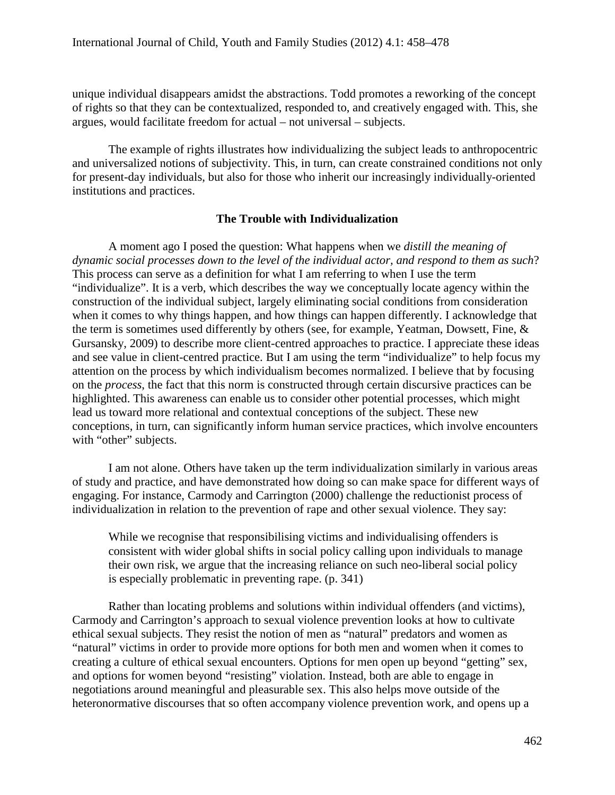unique individual disappears amidst the abstractions. Todd promotes a reworking of the concept of rights so that they can be contextualized, responded to, and creatively engaged with. This, she argues, would facilitate freedom for actual – not universal – subjects.

The example of rights illustrates how individualizing the subject leads to anthropocentric and universalized notions of subjectivity. This, in turn, can create constrained conditions not only for present-day individuals, but also for those who inherit our increasingly individually-oriented institutions and practices.

# **The Trouble with Individualization**

A moment ago I posed the question: What happens when we *distill the meaning of dynamic social processes down to the level of the individual actor, and respond to them as such*? This process can serve as a definition for what I am referring to when I use the term "individualize". It is a verb, which describes the way we conceptually locate agency within the construction of the individual subject, largely eliminating social conditions from consideration when it comes to why things happen, and how things can happen differently. I acknowledge that the term is sometimes used differently by others (see, for example, Yeatman, Dowsett, Fine, & Gursansky, 2009) to describe more client-centred approaches to practice. I appreciate these ideas and see value in client-centred practice. But I am using the term "individualize" to help focus my attention on the process by which individualism becomes normalized. I believe that by focusing on the *process*, the fact that this norm is constructed through certain discursive practices can be highlighted. This awareness can enable us to consider other potential processes, which might lead us toward more relational and contextual conceptions of the subject. These new conceptions, in turn, can significantly inform human service practices, which involve encounters with "other" subjects.

I am not alone. Others have taken up the term individualization similarly in various areas of study and practice, and have demonstrated how doing so can make space for different ways of engaging. For instance, Carmody and Carrington (2000) challenge the reductionist process of individualization in relation to the prevention of rape and other sexual violence. They say:

While we recognise that responsibilising victims and individualising offenders is consistent with wider global shifts in social policy calling upon individuals to manage their own risk, we argue that the increasing reliance on such neo-liberal social policy is especially problematic in preventing rape. (p. 341)

Rather than locating problems and solutions within individual offenders (and victims), Carmody and Carrington's approach to sexual violence prevention looks at how to cultivate ethical sexual subjects. They resist the notion of men as "natural" predators and women as "natural" victims in order to provide more options for both men and women when it comes to creating a culture of ethical sexual encounters. Options for men open up beyond "getting" sex, and options for women beyond "resisting" violation. Instead, both are able to engage in negotiations around meaningful and pleasurable sex. This also helps move outside of the heteronormative discourses that so often accompany violence prevention work, and opens up a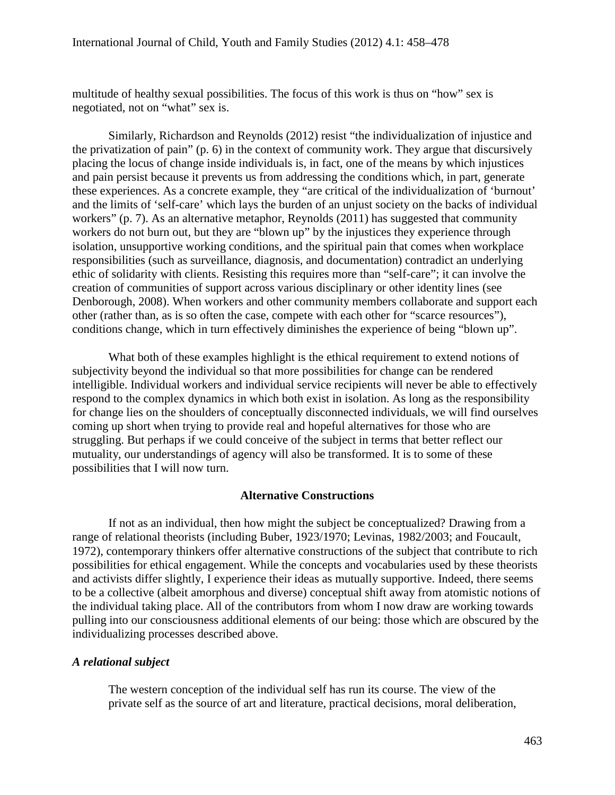multitude of healthy sexual possibilities. The focus of this work is thus on "how" sex is negotiated, not on "what" sex is.

Similarly, Richardson and Reynolds (2012) resist "the individualization of injustice and the privatization of pain" (p. 6) in the context of community work. They argue that discursively placing the locus of change inside individuals is, in fact, one of the means by which injustices and pain persist because it prevents us from addressing the conditions which, in part, generate these experiences. As a concrete example, they "are critical of the individualization of 'burnout' and the limits of 'self-care' which lays the burden of an unjust society on the backs of individual workers" (p. 7). As an alternative metaphor, Reynolds (2011) has suggested that community workers do not burn out, but they are "blown up" by the injustices they experience through isolation, unsupportive working conditions, and the spiritual pain that comes when workplace responsibilities (such as surveillance, diagnosis, and documentation) contradict an underlying ethic of solidarity with clients. Resisting this requires more than "self-care"; it can involve the creation of communities of support across various disciplinary or other identity lines (see Denborough, 2008). When workers and other community members collaborate and support each other (rather than, as is so often the case, compete with each other for "scarce resources"), conditions change, which in turn effectively diminishes the experience of being "blown up".

What both of these examples highlight is the ethical requirement to extend notions of subjectivity beyond the individual so that more possibilities for change can be rendered intelligible. Individual workers and individual service recipients will never be able to effectively respond to the complex dynamics in which both exist in isolation. As long as the responsibility for change lies on the shoulders of conceptually disconnected individuals, we will find ourselves coming up short when trying to provide real and hopeful alternatives for those who are struggling. But perhaps if we could conceive of the subject in terms that better reflect our mutuality, our understandings of agency will also be transformed. It is to some of these possibilities that I will now turn.

#### **Alternative Constructions**

If not as an individual, then how might the subject be conceptualized? Drawing from a range of relational theorists (including Buber, 1923/1970; Levinas, 1982/2003; and Foucault, 1972), contemporary thinkers offer alternative constructions of the subject that contribute to rich possibilities for ethical engagement. While the concepts and vocabularies used by these theorists and activists differ slightly, I experience their ideas as mutually supportive. Indeed, there seems to be a collective (albeit amorphous and diverse) conceptual shift away from atomistic notions of the individual taking place. All of the contributors from whom I now draw are working towards pulling into our consciousness additional elements of our being: those which are obscured by the individualizing processes described above.

#### *A relational subject*

The western conception of the individual self has run its course. The view of the private self as the source of art and literature, practical decisions, moral deliberation,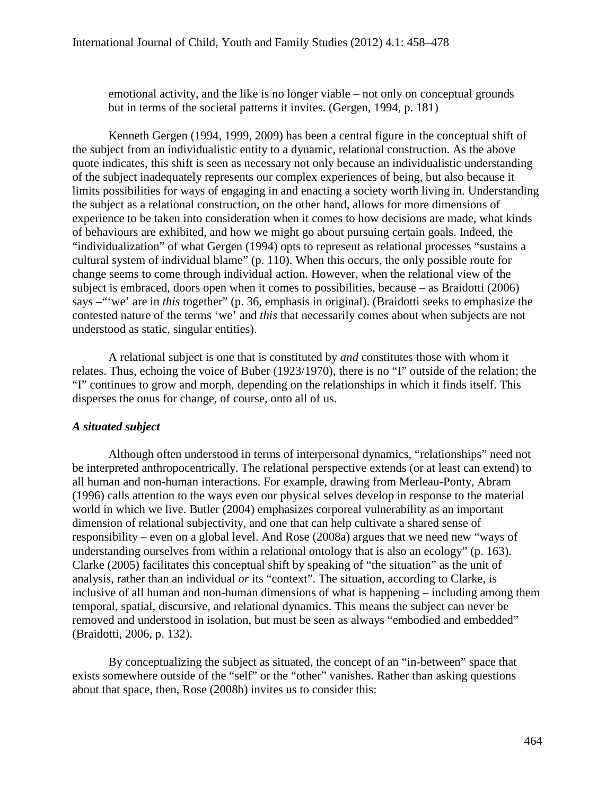emotional activity, and the like is no longer viable – not only on conceptual grounds but in terms of the societal patterns it invites. (Gergen, 1994, p. 181)

Kenneth Gergen (1994, 1999, 2009) has been a central figure in the conceptual shift of the subject from an individualistic entity to a dynamic, relational construction. As the above quote indicates, this shift is seen as necessary not only because an individualistic understanding of the subject inadequately represents our complex experiences of being, but also because it limits possibilities for ways of engaging in and enacting a society worth living in. Understanding the subject as a relational construction, on the other hand, allows for more dimensions of experience to be taken into consideration when it comes to how decisions are made, what kinds of behaviours are exhibited, and how we might go about pursuing certain goals. Indeed, the "individualization" of what Gergen (1994) opts to represent as relational processes "sustains a cultural system of individual blame" (p. 110). When this occurs, the only possible route for change seems to come through individual action. However, when the relational view of the subject is embraced, doors open when it comes to possibilities, because – as Braidotti (2006) says –"'we' are in *this* together" (p. 36, emphasis in original). (Braidotti seeks to emphasize the contested nature of the terms 'we' and *this* that necessarily comes about when subjects are not understood as static, singular entities).

A relational subject is one that is constituted by *and* constitutes those with whom it relates. Thus, echoing the voice of Buber (1923/1970), there is no "I" outside of the relation; the "I" continues to grow and morph, depending on the relationships in which it finds itself. This disperses the onus for change, of course, onto all of us.

# *A situated subject*

Although often understood in terms of interpersonal dynamics, "relationships" need not be interpreted anthropocentrically. The relational perspective extends (or at least can extend) to all human and non-human interactions. For example, drawing from Merleau-Ponty, Abram (1996) calls attention to the ways even our physical selves develop in response to the material world in which we live. Butler (2004) emphasizes corporeal vulnerability as an important dimension of relational subjectivity, and one that can help cultivate a shared sense of responsibility – even on a global level. And Rose (2008a) argues that we need new "ways of understanding ourselves from within a relational ontology that is also an ecology" (p. 163). Clarke (2005) facilitates this conceptual shift by speaking of "the situation" as the unit of analysis, rather than an individual *or* its "context". The situation, according to Clarke, is inclusive of all human and non-human dimensions of what is happening – including among them temporal, spatial, discursive, and relational dynamics. This means the subject can never be removed and understood in isolation, but must be seen as always "embodied and embedded" (Braidotti, 2006, p. 132).

By conceptualizing the subject as situated, the concept of an "in-between" space that exists somewhere outside of the "self" or the "other" vanishes. Rather than asking questions about that space, then, Rose (2008b) invites us to consider this: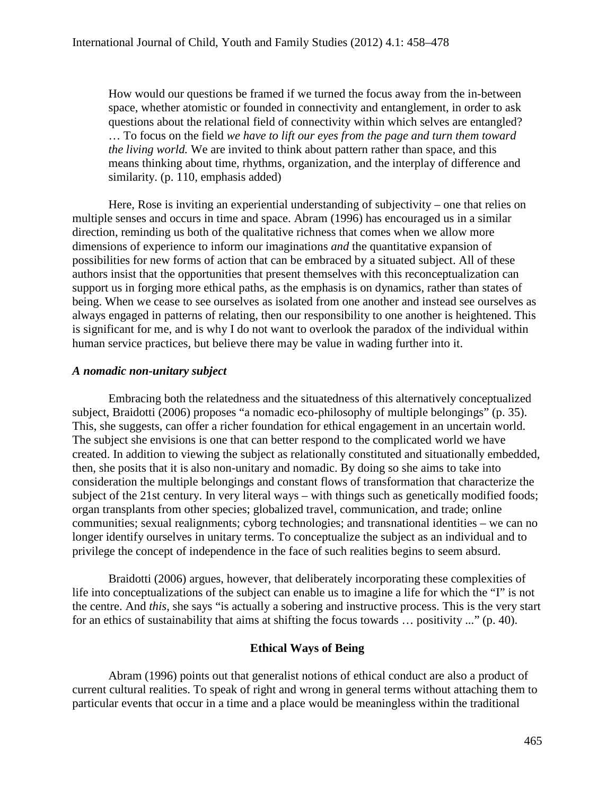How would our questions be framed if we turned the focus away from the in-between space, whether atomistic or founded in connectivity and entanglement, in order to ask questions about the relational field of connectivity within which selves are entangled? … To focus on the field *we have to lift our eyes from the page and turn them toward the living world.* We are invited to think about pattern rather than space, and this means thinking about time, rhythms, organization, and the interplay of difference and similarity. (p. 110, emphasis added)

Here, Rose is inviting an experiential understanding of subjectivity – one that relies on multiple senses and occurs in time and space. Abram (1996) has encouraged us in a similar direction, reminding us both of the qualitative richness that comes when we allow more dimensions of experience to inform our imaginations *and* the quantitative expansion of possibilities for new forms of action that can be embraced by a situated subject. All of these authors insist that the opportunities that present themselves with this reconceptualization can support us in forging more ethical paths, as the emphasis is on dynamics, rather than states of being. When we cease to see ourselves as isolated from one another and instead see ourselves as always engaged in patterns of relating, then our responsibility to one another is heightened. This is significant for me, and is why I do not want to overlook the paradox of the individual within human service practices, but believe there may be value in wading further into it.

#### *A nomadic non-unitary subject*

Embracing both the relatedness and the situatedness of this alternatively conceptualized subject, Braidotti (2006) proposes "a nomadic eco-philosophy of multiple belongings" (p. 35). This, she suggests, can offer a richer foundation for ethical engagement in an uncertain world. The subject she envisions is one that can better respond to the complicated world we have created. In addition to viewing the subject as relationally constituted and situationally embedded, then, she posits that it is also non-unitary and nomadic. By doing so she aims to take into consideration the multiple belongings and constant flows of transformation that characterize the subject of the 21st century. In very literal ways – with things such as genetically modified foods; organ transplants from other species; globalized travel, communication, and trade; online communities; sexual realignments; cyborg technologies; and transnational identities – we can no longer identify ourselves in unitary terms. To conceptualize the subject as an individual and to privilege the concept of independence in the face of such realities begins to seem absurd.

Braidotti (2006) argues, however, that deliberately incorporating these complexities of life into conceptualizations of the subject can enable us to imagine a life for which the "I" is not the centre. And *this*, she says "is actually a sobering and instructive process. This is the very start for an ethics of sustainability that aims at shifting the focus towards … positivity ..." (p. 40).

#### **Ethical Ways of Being**

Abram (1996) points out that generalist notions of ethical conduct are also a product of current cultural realities. To speak of right and wrong in general terms without attaching them to particular events that occur in a time and a place would be meaningless within the traditional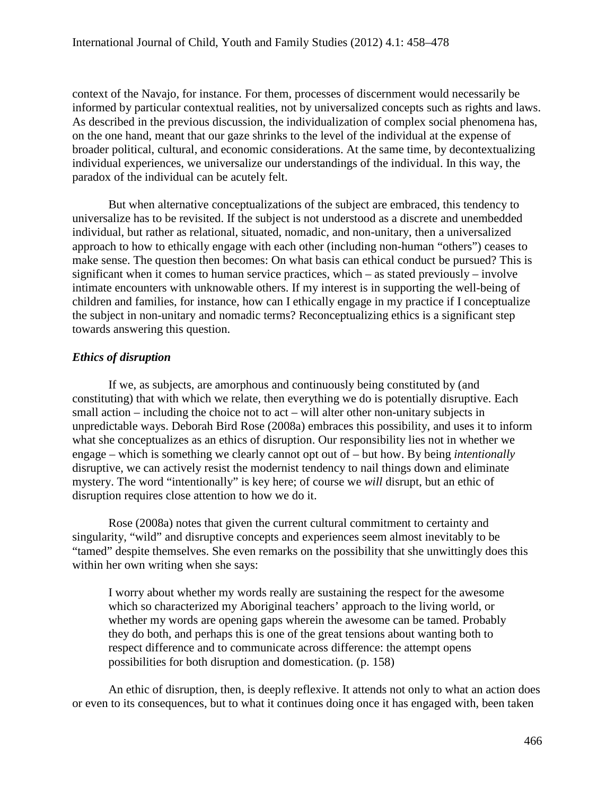context of the Navajo, for instance. For them, processes of discernment would necessarily be informed by particular contextual realities, not by universalized concepts such as rights and laws. As described in the previous discussion, the individualization of complex social phenomena has, on the one hand, meant that our gaze shrinks to the level of the individual at the expense of broader political, cultural, and economic considerations. At the same time, by decontextualizing individual experiences, we universalize our understandings of the individual. In this way, the paradox of the individual can be acutely felt.

But when alternative conceptualizations of the subject are embraced, this tendency to universalize has to be revisited. If the subject is not understood as a discrete and unembedded individual, but rather as relational, situated, nomadic, and non-unitary, then a universalized approach to how to ethically engage with each other (including non-human "others") ceases to make sense. The question then becomes: On what basis can ethical conduct be pursued? This is significant when it comes to human service practices, which – as stated previously – involve intimate encounters with unknowable others. If my interest is in supporting the well-being of children and families, for instance, how can I ethically engage in my practice if I conceptualize the subject in non-unitary and nomadic terms? Reconceptualizing ethics is a significant step towards answering this question.

# *Ethics of disruption*

If we, as subjects, are amorphous and continuously being constituted by (and constituting) that with which we relate, then everything we do is potentially disruptive. Each small action – including the choice not to act – will alter other non-unitary subjects in unpredictable ways. Deborah Bird Rose (2008a) embraces this possibility, and uses it to inform what she conceptualizes as an ethics of disruption. Our responsibility lies not in whether we engage – which is something we clearly cannot opt out of – but how. By being *intentionally* disruptive, we can actively resist the modernist tendency to nail things down and eliminate mystery. The word "intentionally" is key here; of course we *will* disrupt, but an ethic of disruption requires close attention to how we do it.

Rose (2008a) notes that given the current cultural commitment to certainty and singularity, "wild" and disruptive concepts and experiences seem almost inevitably to be "tamed" despite themselves. She even remarks on the possibility that she unwittingly does this within her own writing when she says:

I worry about whether my words really are sustaining the respect for the awesome which so characterized my Aboriginal teachers' approach to the living world, or whether my words are opening gaps wherein the awesome can be tamed. Probably they do both, and perhaps this is one of the great tensions about wanting both to respect difference and to communicate across difference: the attempt opens possibilities for both disruption and domestication. (p. 158)

An ethic of disruption, then, is deeply reflexive. It attends not only to what an action does or even to its consequences, but to what it continues doing once it has engaged with, been taken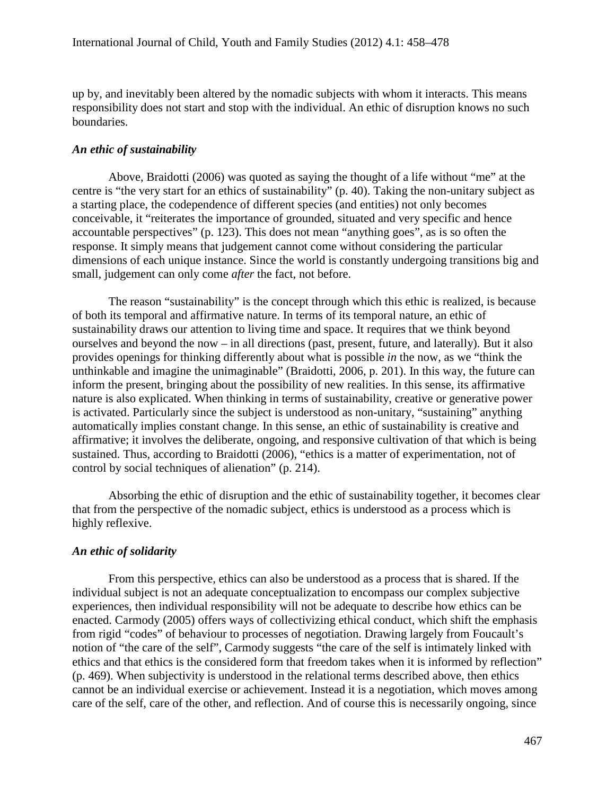up by, and inevitably been altered by the nomadic subjects with whom it interacts. This means responsibility does not start and stop with the individual. An ethic of disruption knows no such boundaries.

#### *An ethic of sustainability*

Above, Braidotti (2006) was quoted as saying the thought of a life without "me" at the centre is "the very start for an ethics of sustainability" (p. 40). Taking the non-unitary subject as a starting place, the codependence of different species (and entities) not only becomes conceivable, it "reiterates the importance of grounded, situated and very specific and hence accountable perspectives" (p. 123). This does not mean "anything goes", as is so often the response. It simply means that judgement cannot come without considering the particular dimensions of each unique instance. Since the world is constantly undergoing transitions big and small, judgement can only come *after* the fact, not before.

The reason "sustainability" is the concept through which this ethic is realized, is because of both its temporal and affirmative nature. In terms of its temporal nature, an ethic of sustainability draws our attention to living time and space. It requires that we think beyond ourselves and beyond the now – in all directions (past, present, future, and laterally). But it also provides openings for thinking differently about what is possible *in* the now, as we "think the unthinkable and imagine the unimaginable" (Braidotti, 2006, p. 201). In this way, the future can inform the present, bringing about the possibility of new realities. In this sense, its affirmative nature is also explicated. When thinking in terms of sustainability, creative or generative power is activated. Particularly since the subject is understood as non-unitary, "sustaining" anything automatically implies constant change. In this sense, an ethic of sustainability is creative and affirmative; it involves the deliberate, ongoing, and responsive cultivation of that which is being sustained. Thus, according to Braidotti (2006), "ethics is a matter of experimentation, not of control by social techniques of alienation" (p. 214).

Absorbing the ethic of disruption and the ethic of sustainability together, it becomes clear that from the perspective of the nomadic subject, ethics is understood as a process which is highly reflexive.

#### *An ethic of solidarity*

From this perspective, ethics can also be understood as a process that is shared. If the individual subject is not an adequate conceptualization to encompass our complex subjective experiences, then individual responsibility will not be adequate to describe how ethics can be enacted. Carmody (2005) offers ways of collectivizing ethical conduct, which shift the emphasis from rigid "codes" of behaviour to processes of negotiation. Drawing largely from Foucault's notion of "the care of the self", Carmody suggests "the care of the self is intimately linked with ethics and that ethics is the considered form that freedom takes when it is informed by reflection" (p. 469). When subjectivity is understood in the relational terms described above, then ethics cannot be an individual exercise or achievement. Instead it is a negotiation, which moves among care of the self, care of the other, and reflection. And of course this is necessarily ongoing, since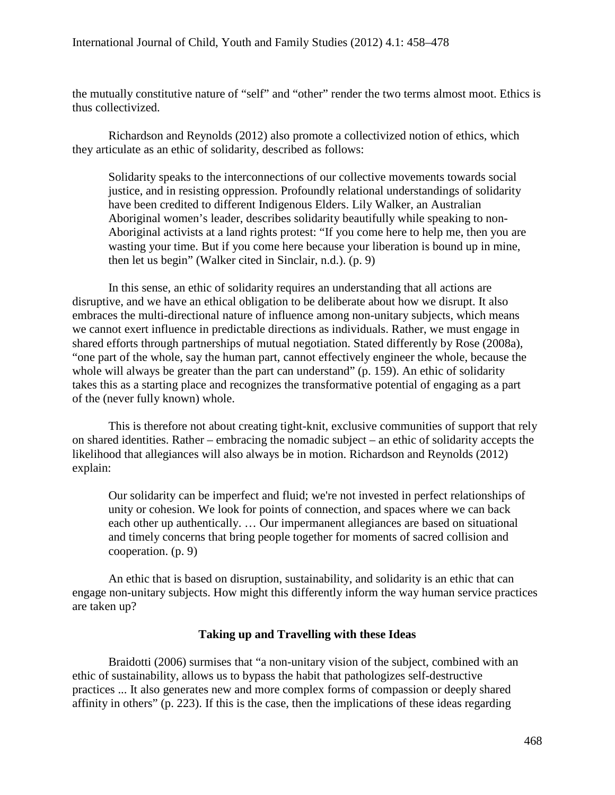the mutually constitutive nature of "self" and "other" render the two terms almost moot. Ethics is thus collectivized.

Richardson and Reynolds (2012) also promote a collectivized notion of ethics, which they articulate as an ethic of solidarity, described as follows:

Solidarity speaks to the interconnections of our collective movements towards social justice, and in resisting oppression. Profoundly relational understandings of solidarity have been credited to different Indigenous Elders. Lily Walker, an Australian Aboriginal women's leader, describes solidarity beautifully while speaking to non-Aboriginal activists at a land rights protest: "If you come here to help me, then you are wasting your time. But if you come here because your liberation is bound up in mine, then let us begin" (Walker cited in Sinclair, n.d.). (p. 9)

In this sense, an ethic of solidarity requires an understanding that all actions are disruptive, and we have an ethical obligation to be deliberate about how we disrupt. It also embraces the multi-directional nature of influence among non-unitary subjects, which means we cannot exert influence in predictable directions as individuals. Rather, we must engage in shared efforts through partnerships of mutual negotiation. Stated differently by Rose (2008a), "one part of the whole, say the human part, cannot effectively engineer the whole, because the whole will always be greater than the part can understand" (p. 159). An ethic of solidarity takes this as a starting place and recognizes the transformative potential of engaging as a part of the (never fully known) whole.

This is therefore not about creating tight-knit, exclusive communities of support that rely on shared identities. Rather – embracing the nomadic subject – an ethic of solidarity accepts the likelihood that allegiances will also always be in motion. Richardson and Reynolds (2012) explain:

Our solidarity can be imperfect and fluid; we're not invested in perfect relationships of unity or cohesion. We look for points of connection, and spaces where we can back each other up authentically. … Our impermanent allegiances are based on situational and timely concerns that bring people together for moments of sacred collision and cooperation. (p. 9)

An ethic that is based on disruption, sustainability, and solidarity is an ethic that can engage non-unitary subjects. How might this differently inform the way human service practices are taken up?

# **Taking up and Travelling with these Ideas**

Braidotti (2006) surmises that "a non-unitary vision of the subject, combined with an ethic of sustainability, allows us to bypass the habit that pathologizes self-destructive practices ... It also generates new and more complex forms of compassion or deeply shared affinity in others" (p. 223). If this is the case, then the implications of these ideas regarding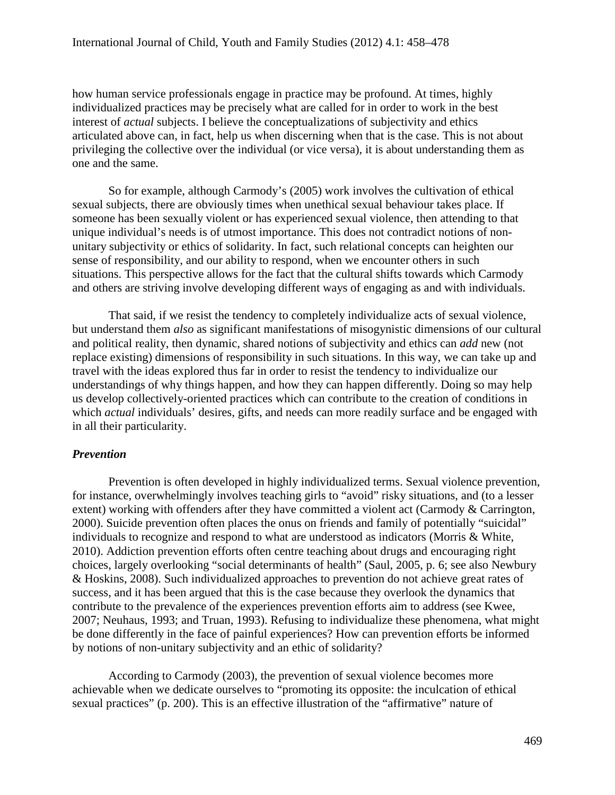how human service professionals engage in practice may be profound. At times, highly individualized practices may be precisely what are called for in order to work in the best interest of *actual* subjects. I believe the conceptualizations of subjectivity and ethics articulated above can, in fact, help us when discerning when that is the case. This is not about privileging the collective over the individual (or vice versa), it is about understanding them as one and the same.

So for example, although Carmody's (2005) work involves the cultivation of ethical sexual subjects, there are obviously times when unethical sexual behaviour takes place. If someone has been sexually violent or has experienced sexual violence, then attending to that unique individual's needs is of utmost importance. This does not contradict notions of nonunitary subjectivity or ethics of solidarity. In fact, such relational concepts can heighten our sense of responsibility, and our ability to respond, when we encounter others in such situations. This perspective allows for the fact that the cultural shifts towards which Carmody and others are striving involve developing different ways of engaging as and with individuals.

That said, if we resist the tendency to completely individualize acts of sexual violence, but understand them *also* as significant manifestations of misogynistic dimensions of our cultural and political reality, then dynamic, shared notions of subjectivity and ethics can *add* new (not replace existing) dimensions of responsibility in such situations. In this way, we can take up and travel with the ideas explored thus far in order to resist the tendency to individualize our understandings of why things happen, and how they can happen differently. Doing so may help us develop collectively-oriented practices which can contribute to the creation of conditions in which *actual* individuals' desires, gifts, and needs can more readily surface and be engaged with in all their particularity.

# *Prevention*

Prevention is often developed in highly individualized terms. Sexual violence prevention, for instance, overwhelmingly involves teaching girls to "avoid" risky situations, and (to a lesser extent) working with offenders after they have committed a violent act (Carmody & Carrington, 2000). Suicide prevention often places the onus on friends and family of potentially "suicidal" individuals to recognize and respond to what are understood as indicators (Morris & White, 2010). Addiction prevention efforts often centre teaching about drugs and encouraging right choices, largely overlooking "social determinants of health" (Saul, 2005, p. 6; see also Newbury & Hoskins, 2008). Such individualized approaches to prevention do not achieve great rates of success, and it has been argued that this is the case because they overlook the dynamics that contribute to the prevalence of the experiences prevention efforts aim to address (see Kwee, 2007; Neuhaus, 1993; and Truan, 1993). Refusing to individualize these phenomena, what might be done differently in the face of painful experiences? How can prevention efforts be informed by notions of non-unitary subjectivity and an ethic of solidarity?

According to Carmody (2003), the prevention of sexual violence becomes more achievable when we dedicate ourselves to "promoting its opposite: the inculcation of ethical sexual practices" (p. 200). This is an effective illustration of the "affirmative" nature of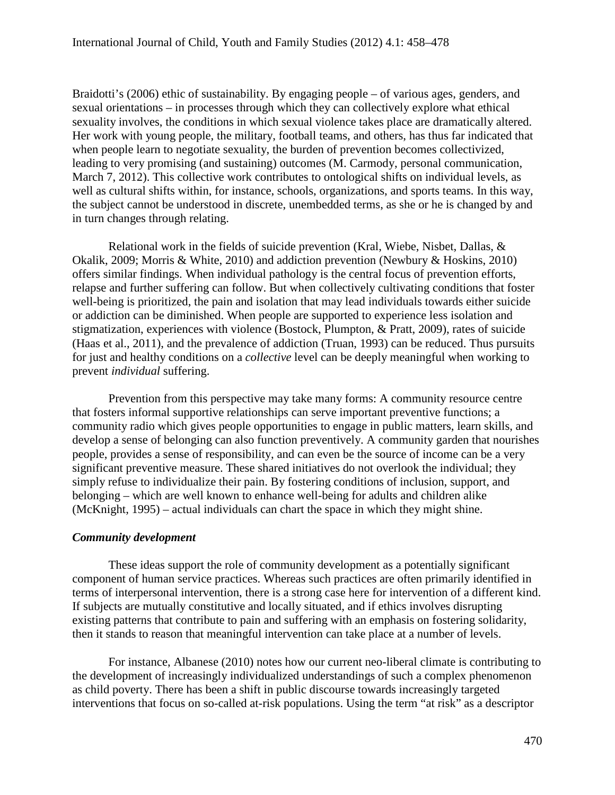Braidotti's (2006) ethic of sustainability. By engaging people – of various ages, genders, and sexual orientations – in processes through which they can collectively explore what ethical sexuality involves, the conditions in which sexual violence takes place are dramatically altered. Her work with young people, the military, football teams, and others, has thus far indicated that when people learn to negotiate sexuality, the burden of prevention becomes collectivized, leading to very promising (and sustaining) outcomes (M. Carmody, personal communication, March 7, 2012). This collective work contributes to ontological shifts on individual levels, as well as cultural shifts within, for instance, schools, organizations, and sports teams. In this way, the subject cannot be understood in discrete, unembedded terms, as she or he is changed by and in turn changes through relating.

Relational work in the fields of suicide prevention (Kral, Wiebe, Nisbet, Dallas, & Okalik, 2009; Morris & White, 2010) and addiction prevention (Newbury & Hoskins, 2010) offers similar findings. When individual pathology is the central focus of prevention efforts, relapse and further suffering can follow. But when collectively cultivating conditions that foster well-being is prioritized, the pain and isolation that may lead individuals towards either suicide or addiction can be diminished. When people are supported to experience less isolation and stigmatization, experiences with violence (Bostock, Plumpton, & Pratt, 2009), rates of suicide (Haas et al., 2011), and the prevalence of addiction (Truan, 1993) can be reduced. Thus pursuits for just and healthy conditions on a *collective* level can be deeply meaningful when working to prevent *individual* suffering.

Prevention from this perspective may take many forms: A community resource centre that fosters informal supportive relationships can serve important preventive functions; a community radio which gives people opportunities to engage in public matters, learn skills, and develop a sense of belonging can also function preventively. A community garden that nourishes people, provides a sense of responsibility, and can even be the source of income can be a very significant preventive measure. These shared initiatives do not overlook the individual; they simply refuse to individualize their pain. By fostering conditions of inclusion, support, and belonging – which are well known to enhance well-being for adults and children alike (McKnight, 1995) – actual individuals can chart the space in which they might shine.

# *Community development*

These ideas support the role of community development as a potentially significant component of human service practices. Whereas such practices are often primarily identified in terms of interpersonal intervention, there is a strong case here for intervention of a different kind. If subjects are mutually constitutive and locally situated, and if ethics involves disrupting existing patterns that contribute to pain and suffering with an emphasis on fostering solidarity, then it stands to reason that meaningful intervention can take place at a number of levels.

For instance, Albanese (2010) notes how our current neo-liberal climate is contributing to the development of increasingly individualized understandings of such a complex phenomenon as child poverty. There has been a shift in public discourse towards increasingly targeted interventions that focus on so-called at-risk populations. Using the term "at risk" as a descriptor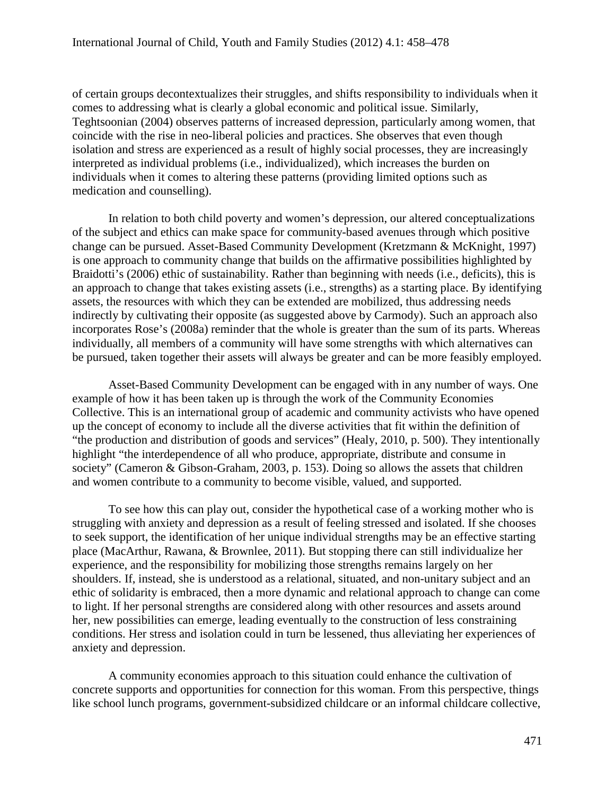of certain groups decontextualizes their struggles, and shifts responsibility to individuals when it comes to addressing what is clearly a global economic and political issue. Similarly, Teghtsoonian (2004) observes patterns of increased depression, particularly among women, that coincide with the rise in neo-liberal policies and practices. She observes that even though isolation and stress are experienced as a result of highly social processes, they are increasingly interpreted as individual problems (i.e., individualized), which increases the burden on individuals when it comes to altering these patterns (providing limited options such as medication and counselling).

In relation to both child poverty and women's depression, our altered conceptualizations of the subject and ethics can make space for community-based avenues through which positive change can be pursued. Asset-Based Community Development (Kretzmann & McKnight, 1997) is one approach to community change that builds on the affirmative possibilities highlighted by Braidotti's (2006) ethic of sustainability. Rather than beginning with needs (i.e., deficits), this is an approach to change that takes existing assets (i.e., strengths) as a starting place. By identifying assets, the resources with which they can be extended are mobilized, thus addressing needs indirectly by cultivating their opposite (as suggested above by Carmody). Such an approach also incorporates Rose's (2008a) reminder that the whole is greater than the sum of its parts. Whereas individually, all members of a community will have some strengths with which alternatives can be pursued, taken together their assets will always be greater and can be more feasibly employed.

Asset-Based Community Development can be engaged with in any number of ways. One example of how it has been taken up is through the work of the Community Economies Collective. This is an international group of academic and community activists who have opened up the concept of economy to include all the diverse activities that fit within the definition of "the production and distribution of goods and services" (Healy, 2010, p. 500). They intentionally highlight "the interdependence of all who produce, appropriate, distribute and consume in society" (Cameron & Gibson-Graham, 2003, p. 153). Doing so allows the assets that children and women contribute to a community to become visible, valued, and supported.

To see how this can play out, consider the hypothetical case of a working mother who is struggling with anxiety and depression as a result of feeling stressed and isolated. If she chooses to seek support, the identification of her unique individual strengths may be an effective starting place (MacArthur, Rawana, & Brownlee, 2011). But stopping there can still individualize her experience, and the responsibility for mobilizing those strengths remains largely on her shoulders. If, instead, she is understood as a relational, situated, and non-unitary subject and an ethic of solidarity is embraced, then a more dynamic and relational approach to change can come to light. If her personal strengths are considered along with other resources and assets around her, new possibilities can emerge, leading eventually to the construction of less constraining conditions. Her stress and isolation could in turn be lessened, thus alleviating her experiences of anxiety and depression.

A community economies approach to this situation could enhance the cultivation of concrete supports and opportunities for connection for this woman. From this perspective, things like school lunch programs, government-subsidized childcare or an informal childcare collective,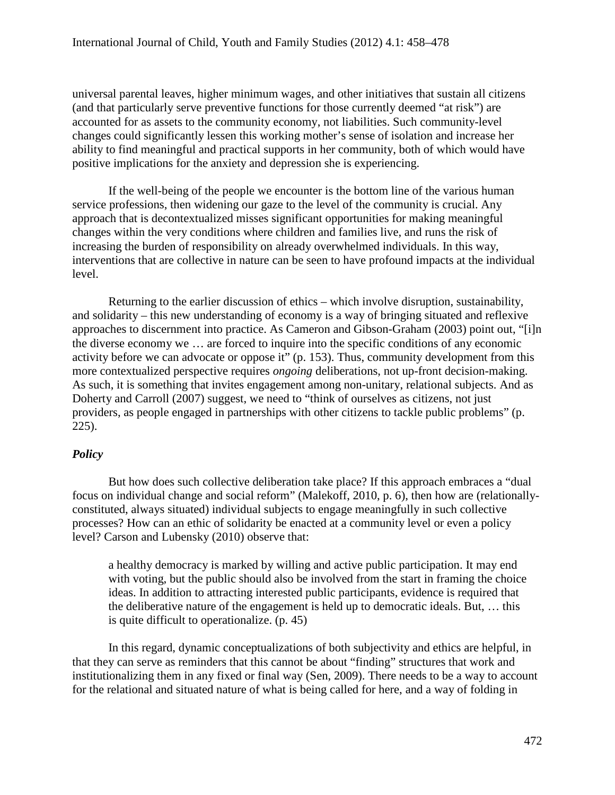universal parental leaves, higher minimum wages, and other initiatives that sustain all citizens (and that particularly serve preventive functions for those currently deemed "at risk") are accounted for as assets to the community economy, not liabilities. Such community-level changes could significantly lessen this working mother's sense of isolation and increase her ability to find meaningful and practical supports in her community, both of which would have positive implications for the anxiety and depression she is experiencing.

If the well-being of the people we encounter is the bottom line of the various human service professions, then widening our gaze to the level of the community is crucial. Any approach that is decontextualized misses significant opportunities for making meaningful changes within the very conditions where children and families live, and runs the risk of increasing the burden of responsibility on already overwhelmed individuals. In this way, interventions that are collective in nature can be seen to have profound impacts at the individual level.

Returning to the earlier discussion of ethics – which involve disruption, sustainability, and solidarity – this new understanding of economy is a way of bringing situated and reflexive approaches to discernment into practice. As Cameron and Gibson-Graham (2003) point out, "[i]n the diverse economy we … are forced to inquire into the specific conditions of any economic activity before we can advocate or oppose it" (p. 153). Thus, community development from this more contextualized perspective requires *ongoing* deliberations, not up-front decision-making. As such, it is something that invites engagement among non-unitary, relational subjects. And as Doherty and Carroll (2007) suggest, we need to "think of ourselves as citizens, not just providers, as people engaged in partnerships with other citizens to tackle public problems" (p. 225).

# *Policy*

But how does such collective deliberation take place? If this approach embraces a "dual focus on individual change and social reform" (Malekoff, 2010, p. 6), then how are (relationallyconstituted, always situated) individual subjects to engage meaningfully in such collective processes? How can an ethic of solidarity be enacted at a community level or even a policy level? Carson and Lubensky (2010) observe that:

a healthy democracy is marked by willing and active public participation. It may end with voting, but the public should also be involved from the start in framing the choice ideas. In addition to attracting interested public participants, evidence is required that the deliberative nature of the engagement is held up to democratic ideals. But, … this is quite difficult to operationalize. (p. 45)

In this regard, dynamic conceptualizations of both subjectivity and ethics are helpful, in that they can serve as reminders that this cannot be about "finding" structures that work and institutionalizing them in any fixed or final way (Sen, 2009). There needs to be a way to account for the relational and situated nature of what is being called for here, and a way of folding in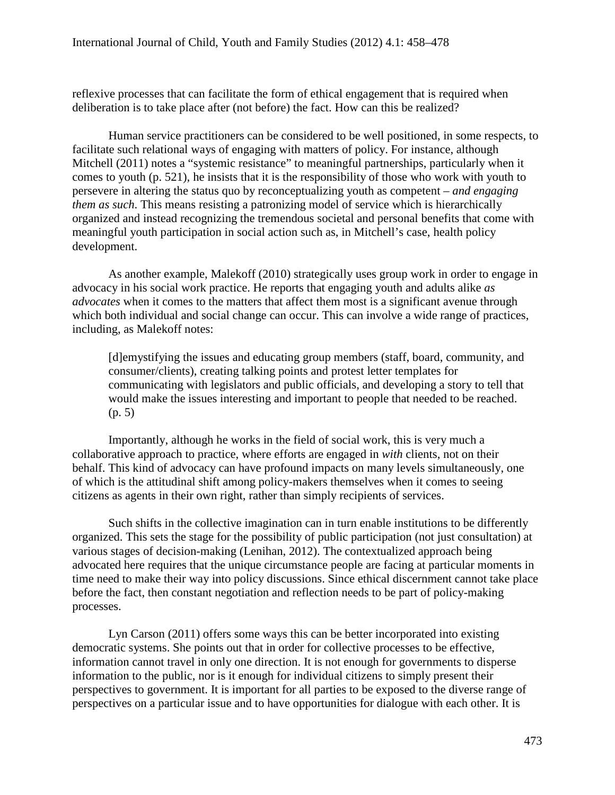reflexive processes that can facilitate the form of ethical engagement that is required when deliberation is to take place after (not before) the fact. How can this be realized?

Human service practitioners can be considered to be well positioned, in some respects, to facilitate such relational ways of engaging with matters of policy. For instance, although Mitchell (2011) notes a "systemic resistance" to meaningful partnerships, particularly when it comes to youth (p. 521), he insists that it is the responsibility of those who work with youth to persevere in altering the status quo by reconceptualizing youth as competent – *and engaging them as such*. This means resisting a patronizing model of service which is hierarchically organized and instead recognizing the tremendous societal and personal benefits that come with meaningful youth participation in social action such as, in Mitchell's case, health policy development.

As another example, Malekoff (2010) strategically uses group work in order to engage in advocacy in his social work practice. He reports that engaging youth and adults alike *as advocates* when it comes to the matters that affect them most is a significant avenue through which both individual and social change can occur. This can involve a wide range of practices, including, as Malekoff notes:

[d]emystifying the issues and educating group members (staff, board, community, and consumer/clients), creating talking points and protest letter templates for communicating with legislators and public officials, and developing a story to tell that would make the issues interesting and important to people that needed to be reached. (p. 5)

Importantly, although he works in the field of social work, this is very much a collaborative approach to practice, where efforts are engaged in *with* clients, not on their behalf. This kind of advocacy can have profound impacts on many levels simultaneously, one of which is the attitudinal shift among policy-makers themselves when it comes to seeing citizens as agents in their own right, rather than simply recipients of services.

Such shifts in the collective imagination can in turn enable institutions to be differently organized. This sets the stage for the possibility of public participation (not just consultation) at various stages of decision-making (Lenihan, 2012). The contextualized approach being advocated here requires that the unique circumstance people are facing at particular moments in time need to make their way into policy discussions. Since ethical discernment cannot take place before the fact, then constant negotiation and reflection needs to be part of policy-making processes.

Lyn Carson (2011) offers some ways this can be better incorporated into existing democratic systems. She points out that in order for collective processes to be effective, information cannot travel in only one direction. It is not enough for governments to disperse information to the public, nor is it enough for individual citizens to simply present their perspectives to government. It is important for all parties to be exposed to the diverse range of perspectives on a particular issue and to have opportunities for dialogue with each other. It is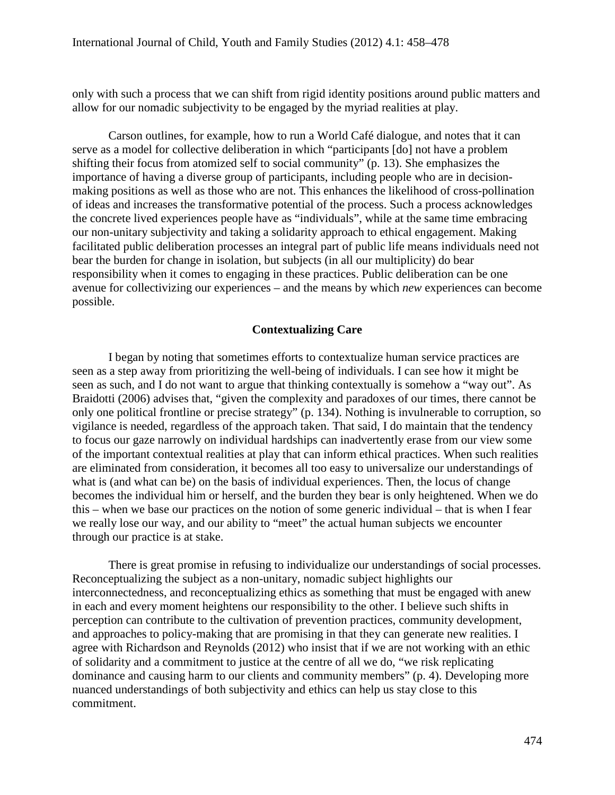only with such a process that we can shift from rigid identity positions around public matters and allow for our nomadic subjectivity to be engaged by the myriad realities at play.

Carson outlines, for example, how to run a World Café dialogue, and notes that it can serve as a model for collective deliberation in which "participants [do] not have a problem shifting their focus from atomized self to social community" (p. 13). She emphasizes the importance of having a diverse group of participants, including people who are in decisionmaking positions as well as those who are not. This enhances the likelihood of cross-pollination of ideas and increases the transformative potential of the process. Such a process acknowledges the concrete lived experiences people have as "individuals", while at the same time embracing our non-unitary subjectivity and taking a solidarity approach to ethical engagement. Making facilitated public deliberation processes an integral part of public life means individuals need not bear the burden for change in isolation, but subjects (in all our multiplicity) do bear responsibility when it comes to engaging in these practices. Public deliberation can be one avenue for collectivizing our experiences – and the means by which *new* experiences can become possible.

# **Contextualizing Care**

I began by noting that sometimes efforts to contextualize human service practices are seen as a step away from prioritizing the well-being of individuals. I can see how it might be seen as such, and I do not want to argue that thinking contextually is somehow a "way out". As Braidotti (2006) advises that, "given the complexity and paradoxes of our times, there cannot be only one political frontline or precise strategy" (p. 134). Nothing is invulnerable to corruption, so vigilance is needed, regardless of the approach taken. That said, I do maintain that the tendency to focus our gaze narrowly on individual hardships can inadvertently erase from our view some of the important contextual realities at play that can inform ethical practices. When such realities are eliminated from consideration, it becomes all too easy to universalize our understandings of what is (and what can be) on the basis of individual experiences. Then, the locus of change becomes the individual him or herself, and the burden they bear is only heightened. When we do this – when we base our practices on the notion of some generic individual – that is when I fear we really lose our way, and our ability to "meet" the actual human subjects we encounter through our practice is at stake.

There is great promise in refusing to individualize our understandings of social processes. Reconceptualizing the subject as a non-unitary, nomadic subject highlights our interconnectedness, and reconceptualizing ethics as something that must be engaged with anew in each and every moment heightens our responsibility to the other. I believe such shifts in perception can contribute to the cultivation of prevention practices, community development, and approaches to policy-making that are promising in that they can generate new realities. I agree with Richardson and Reynolds (2012) who insist that if we are not working with an ethic of solidarity and a commitment to justice at the centre of all we do, "we risk replicating dominance and causing harm to our clients and community members" (p. 4). Developing more nuanced understandings of both subjectivity and ethics can help us stay close to this commitment.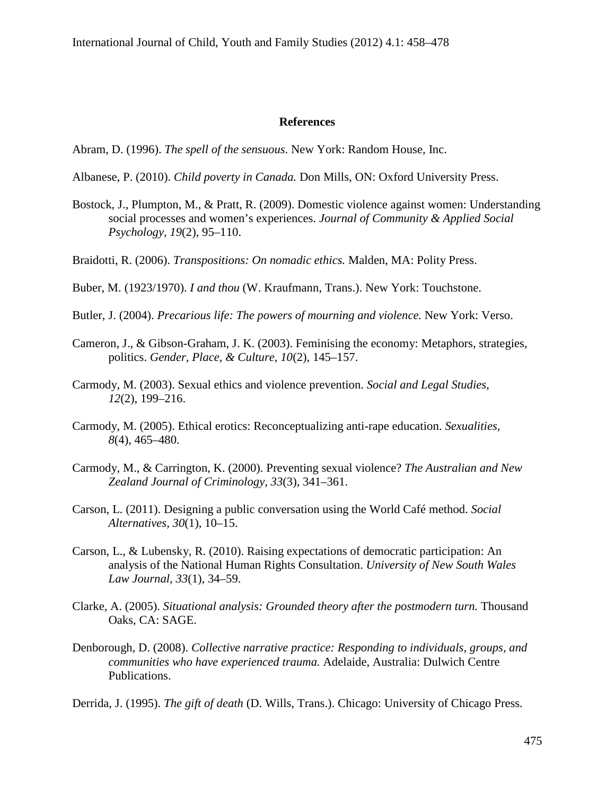#### **References**

Abram, D. (1996). *The spell of the sensuous*. New York: Random House, Inc.

- Albanese, P. (2010). *Child poverty in Canada.* Don Mills, ON: Oxford University Press.
- Bostock, J., Plumpton, M., & Pratt, R. (2009). Domestic violence against women: Understanding social processes and women's experiences. *Journal of Community & Applied Social Psychology, 19*(2), 95–110.
- Braidotti, R. (2006). *Transpositions: On nomadic ethics.* Malden, MA: Polity Press.
- Buber, M. (1923/1970). *I and thou* (W. Kraufmann, Trans.). New York: Touchstone.
- Butler, J. (2004). *Precarious life: The powers of mourning and violence.* New York: Verso.
- Cameron, J., & Gibson-Graham, J. K. (2003). Feminising the economy: Metaphors, strategies, politics. *Gender, Place, & Culture, 10*(2), 145–157.
- Carmody, M. (2003). Sexual ethics and violence prevention. *Social and Legal Studies, 12*(2), 199–216.
- Carmody, M. (2005). Ethical erotics: Reconceptualizing anti-rape education. *Sexualities, 8*(4), 465–480.
- Carmody, M., & Carrington, K. (2000). Preventing sexual violence? *The Australian and New Zealand Journal of Criminology, 33*(3), 341–361.
- Carson, L. (2011). Designing a public conversation using the World Café method. *Social Alternatives, 30*(1), 10–15.
- Carson, L., & Lubensky, R. (2010). Raising expectations of democratic participation: An analysis of the National Human Rights Consultation. *University of New South Wales Law Journal, 33*(1), 34–59.
- Clarke, A. (2005). *Situational analysis: Grounded theory after the postmodern turn.* Thousand Oaks, CA: SAGE.
- Denborough, D. (2008). *Collective narrative practice: Responding to individuals, groups, and communities who have experienced trauma.* Adelaide, Australia: Dulwich Centre Publications.
- Derrida, J. (1995). *The gift of death* (D. Wills, Trans.). Chicago: University of Chicago Press.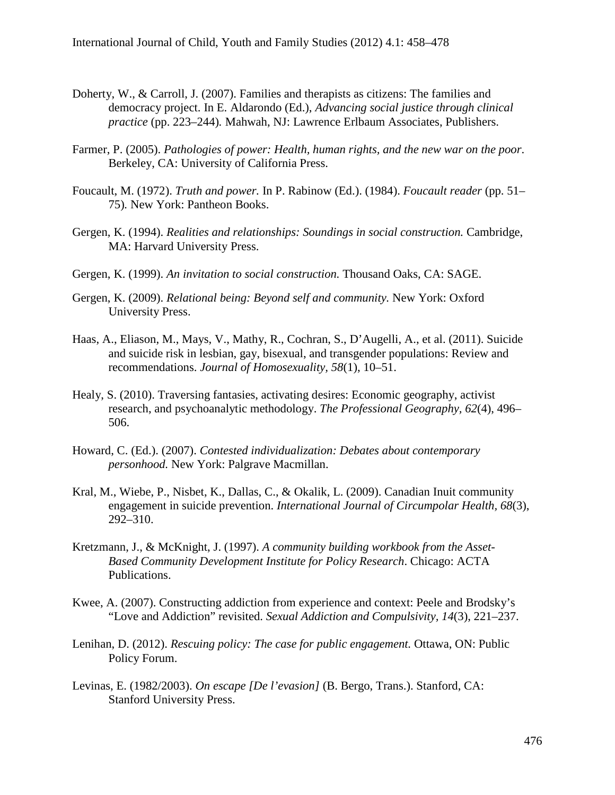- Doherty, W., & Carroll, J. (2007). Families and therapists as citizens: The families and democracy project. In E. Aldarondo (Ed.), *Advancing social justice through clinical practice* (pp. 223–244)*.* Mahwah, NJ: Lawrence Erlbaum Associates, Publishers.
- Farmer, P. (2005). *Pathologies of power: Health, human rights, and the new war on the poor*. Berkeley, CA: University of California Press.
- Foucault, M. (1972). *Truth and power.* In P. Rabinow (Ed.). (1984). *Foucault reader* (pp. 51– 75)*.* New York: Pantheon Books.
- Gergen, K. (1994). *Realities and relationships: Soundings in social construction.* Cambridge, MA: Harvard University Press.
- Gergen, K. (1999). *An invitation to social construction.* Thousand Oaks, CA: SAGE.
- Gergen, K. (2009). *Relational being: Beyond self and community.* New York: Oxford University Press.
- Haas, A., Eliason, M., Mays, V., Mathy, R., Cochran, S., D'Augelli, A., et al. (2011). Suicide and suicide risk in lesbian, gay, bisexual, and transgender populations: Review and recommendations. *Journal of Homosexuality, 58*(1), 10–51.
- Healy, S. (2010). Traversing fantasies, activating desires: Economic geography, activist research, and psychoanalytic methodology. *The Professional Geography, 62*(4), 496– 506.
- Howard, C. (Ed.). (2007). *Contested individualization: Debates about contemporary personhood.* New York: Palgrave Macmillan.
- Kral, M., Wiebe, P., Nisbet, K., Dallas, C., & Okalik, L. (2009). Canadian Inuit community engagement in suicide prevention. *International Journal of Circumpolar Health, 68*(3), 292–310.
- Kretzmann, J., & McKnight, J. (1997). *A community building workbook from the Asset-Based Community Development Institute for Policy Research*. Chicago: ACTA Publications.
- Kwee, A. (2007). Constructing addiction from experience and context: Peele and Brodsky's "Love and Addiction" revisited. *Sexual Addiction and Compulsivity, 14*(3), 221–237.
- Lenihan, D. (2012). *Rescuing policy: The case for public engagement.* Ottawa, ON: Public Policy Forum.
- Levinas, E. (1982/2003). *On escape [De l'evasion]* (B. Bergo, Trans.). Stanford, CA: Stanford University Press.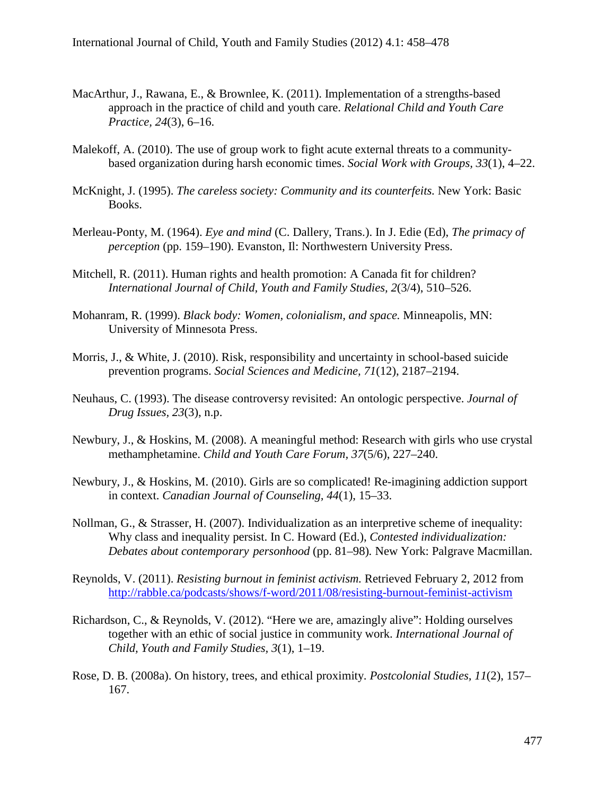- MacArthur, J., Rawana, E., & Brownlee, K. (2011). Implementation of a strengths-based approach in the practice of child and youth care. *Relational Child and Youth Care Practice, 24*(3), 6–16.
- Malekoff, A. (2010). The use of group work to fight acute external threats to a communitybased organization during harsh economic times. *Social Work with Groups, 33*(1), 4–22.
- McKnight, J. (1995). *The careless society: Community and its counterfeits.* New York: Basic Books.
- Merleau-Ponty, M. (1964). *Eye and mind* (C. Dallery, Trans.). In J. Edie (Ed), *The primacy of perception* (pp. 159–190)*.* Evanston, Il: Northwestern University Press.
- Mitchell, R. (2011). Human rights and health promotion: A Canada fit for children? *International Journal of Child, Youth and Family Studies, 2*(3/4), 510–526.
- Mohanram, R. (1999). *Black body: Women, colonialism, and space.* Minneapolis, MN: University of Minnesota Press.
- Morris, J., & White, J. (2010). Risk, responsibility and uncertainty in school-based suicide prevention programs. *Social Sciences and Medicine, 71*(12), 2187–2194.
- Neuhaus, C. (1993). The disease controversy revisited: An ontologic perspective. *Journal of Drug Issues, 23*(3), n.p.
- Newbury, J., & Hoskins, M. (2008). A meaningful method: Research with girls who use crystal methamphetamine. *Child and Youth Care Forum, 37*(5/6), 227–240.
- Newbury, J., & Hoskins, M. (2010). Girls are so complicated! Re-imagining addiction support in context. *Canadian Journal of Counseling, 44*(1), 15–33.
- Nollman, G., & Strasser, H. (2007). Individualization as an interpretive scheme of inequality: Why class and inequality persist. In C. Howard (Ed.), *Contested individualization: Debates about contemporary personhood* (pp. 81–98)*.* New York: Palgrave Macmillan.
- Reynolds, V. (2011). *Resisting burnout in feminist activism.* Retrieved February 2, 2012 from <http://rabble.ca/podcasts/shows/f-word/2011/08/resisting-burnout-feminist-activism>
- Richardson, C., & Reynolds, V. (2012). "Here we are, amazingly alive": Holding ourselves together with an ethic of social justice in community work. *International Journal of Child, Youth and Family Studies, 3*(1), 1–19.
- Rose, D. B. (2008a). On history, trees, and ethical proximity. *Postcolonial Studies, 11*(2), 157– 167.